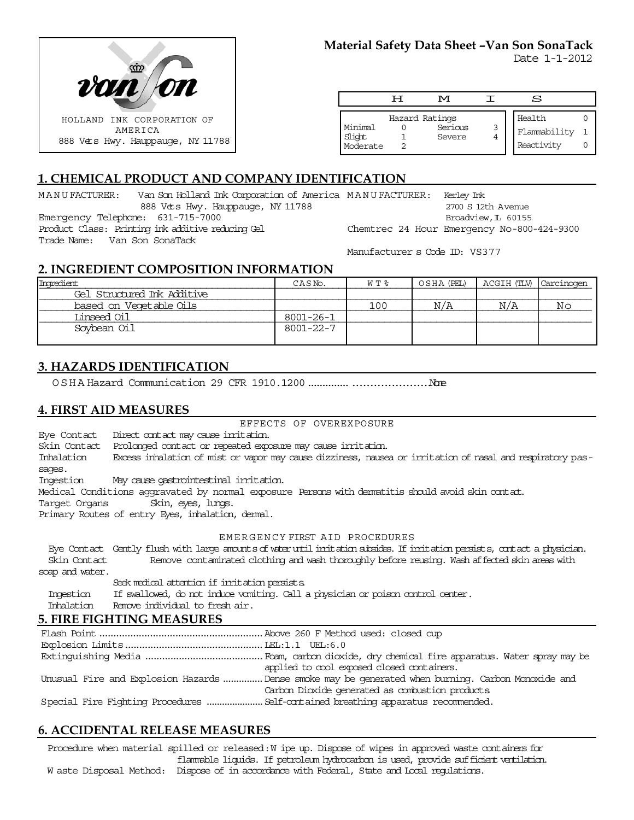

Date 1-1-2012

|                                 | H | M                                   | S                                    |  |
|---------------------------------|---|-------------------------------------|--------------------------------------|--|
| Minimal<br>Slight<br>  Moderate |   | Hazard Ratings<br>Serious<br>Severe | Health<br>Flammability<br>Reactivity |  |

# **1. CHEMICAL PRODUCT AND COMPANY IDENTIFICATION**

MANUFACTURER: Van Son Holland Ink Corporation of America MANUFACTURER: Kerley Ink 888 Vets Hwy. Hauppauge, NY 11788 Emergency Telephone: 631-715-7000 Product Class: Printing ink additive reducing Gel Trade Name: Van Son SonaTack 2700 S 12th Avenue Broadview, L 60155 Chemtrec 24 Hour Emergency No-800-424-9300

Manufacturer s Code ID: VS377

## **2. INGREDIENT COMPOSITION INFORMATION**

| Ingredient                  | CASN <sub>o</sub> . | W T % | OSHA (PEL) | ACGIH (TLV) Carcinogen |    |
|-----------------------------|---------------------|-------|------------|------------------------|----|
| Gel Structured Ink Additive |                     |       |            |                        |    |
| based on Vegetable Oils     |                     | 100   | N/A        | N/A                    | Νc |
| Linseed Oil                 | 8001-26-1           |       |            |                        |    |
| Soybean Oil                 | $8001 - 22 - 7$     |       |            |                        |    |

## **3. HAZARDS IDENTIFICATION**

OSHA Hazard Communication 29 CFR 1910.1200....................................None

### **4. FIRST AID MEASURES**

#### EFFECTS OF OVEREXPOSURE

Eye Contact Direct contact may cause irritation.

Skin Contact Prolonged contact or repeated exposure may cause irritation.

Inhalation Excess inhalation of mist or vapor may cause dizziness, nausea or irritation of nasal and respiratory passages.

Ingestion May cause gastrointestinal irritation.

Medical Conditions aggravated by normal exposure Persons with dermatitis should avoid skin contact.

Target Organs Skin, eyes, lungs.

Primary Routes of entry Eyes, inhalation, dermal.

#### EMERGENCY FIRST AID PROCEDURES

 Eye Contact Gently flush with large amounts of water until irritation subsides. If irritation persists, contact a physician. Skin Contact Remove contaminated clothing and wash thoroughly before reusing. Wash affected skin areas with soap and water.

Seek medical attention if irritation persists.

Ingestion If swallowed, do not induce vomiting. Call a physician or poison control center.

Inhalation Remove individual to fresh air.

### **5. FIRE FIGHTING MEASURES**

Flash Point..........................................................Above 260 F Method used: closed cup Explosion Limits.................................................LEL:1.1 UEL:6.0 Extinguishing Media ..........................................Foam, carbon dioxide, dry chemical fire apparatus. Water spray may be applied to cool exposed closed containers. Unusual Fire and Explosion Hazards...............Dense smoke may be generated when burning. Carbon Monoxide and Carbon Dioxide generated as combustion products. Special Fire Fighting Procedures ......................Self-contained breathing apparatus recommended.

## **6. ACCIDENTAL RELEASE MEASURES**

Procedure when material spilled or released: W ipe up. Dispose of wipes in approved waste containers for flammable liquids. If petroleum hydrocarbon is used, provide sufficient ventilation.

W aste Disposal Method: Dispose of in accordance with Federal, State and Local regulations.